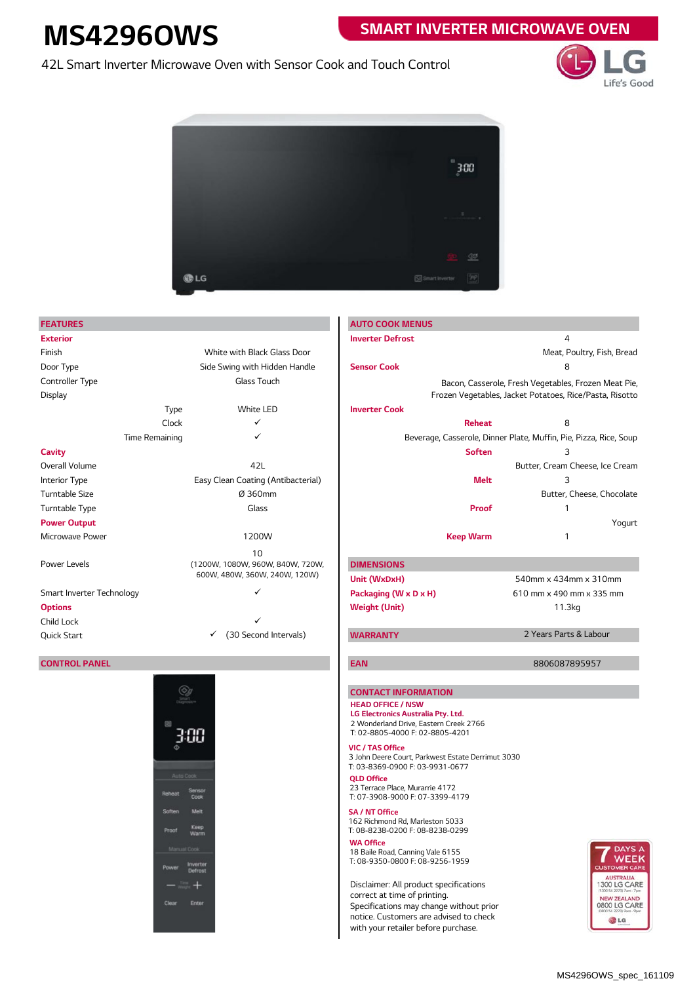# **MS4296OWS**

## **SMART INVERTER MICROWAVE OVEN**

42L Smart Inverter Microwave Oven with Sensor Cook and Touch Control





#### **CONTROL PANEL**



| <b>FEATURES</b>                |                                                                   |                                                                                                                 | <b>AUTO COOK MENUS</b>                                                               |                                                      |                                                                   |                                                |  |
|--------------------------------|-------------------------------------------------------------------|-----------------------------------------------------------------------------------------------------------------|--------------------------------------------------------------------------------------|------------------------------------------------------|-------------------------------------------------------------------|------------------------------------------------|--|
| <b>Exterior</b>                |                                                                   |                                                                                                                 | <b>Inverter Defrost</b>                                                              |                                                      | 4                                                                 |                                                |  |
| Finish                         | White with Black Glass Door                                       |                                                                                                                 |                                                                                      |                                                      | Meat, Poultry, Fish, Bread                                        |                                                |  |
| Door Type                      | Side Swing with Hidden Handle                                     |                                                                                                                 | <b>Sensor Cook</b>                                                                   |                                                      | 8                                                                 |                                                |  |
| Controller Type<br>Glass Touch |                                                                   |                                                                                                                 |                                                                                      | Bacon, Casserole, Fresh Vegetables, Frozen Meat Pie, |                                                                   |                                                |  |
| Display                        |                                                                   |                                                                                                                 |                                                                                      |                                                      | Frozen Vegetables, Jacket Potatoes, Rice/Pasta, Risotto           |                                                |  |
|                                | Type                                                              | White LED                                                                                                       | <b>Inverter Cook</b>                                                                 |                                                      |                                                                   |                                                |  |
|                                | Clock                                                             | ✓                                                                                                               |                                                                                      | <b>Reheat</b>                                        | 8                                                                 |                                                |  |
| Time Remaining                 |                                                                   | ✓                                                                                                               |                                                                                      |                                                      | Beverage, Casserole, Dinner Plate, Muffin, Pie, Pizza, Rice, Soup |                                                |  |
| Cavity                         |                                                                   |                                                                                                                 |                                                                                      | <b>Soften</b>                                        | 3                                                                 |                                                |  |
| Overall Volume                 |                                                                   | 42L                                                                                                             |                                                                                      |                                                      | Butter, Cream Cheese, Ice Cream                                   |                                                |  |
| Interior Type                  | Easy Clean Coating (Antibacterial)                                |                                                                                                                 |                                                                                      | Melt                                                 |                                                                   |                                                |  |
| Turntable Size                 |                                                                   | Ø 360mm                                                                                                         |                                                                                      |                                                      |                                                                   | Butter, Cheese, Chocolate                      |  |
| Turntable Type                 |                                                                   | Glass                                                                                                           |                                                                                      | Proof                                                |                                                                   |                                                |  |
| <b>Power Output</b>            |                                                                   |                                                                                                                 |                                                                                      |                                                      |                                                                   | Yogurt                                         |  |
| Microwave Power                |                                                                   | 1200W                                                                                                           |                                                                                      | <b>Keep Warm</b>                                     | 1                                                                 |                                                |  |
|                                |                                                                   | 10                                                                                                              |                                                                                      |                                                      |                                                                   |                                                |  |
| Power Levels                   | (1200W, 1080W, 960W, 840W, 720W,<br>600W, 480W, 360W, 240W, 120W) |                                                                                                                 | <b>DIMENSIONS</b>                                                                    |                                                      |                                                                   |                                                |  |
|                                |                                                                   |                                                                                                                 | Unit (WxDxH)                                                                         |                                                      | 540mm x 434mm x 310mm                                             |                                                |  |
| Smart Inverter Technology      |                                                                   |                                                                                                                 | Packaging (W x D x H)                                                                |                                                      | 610 mm x 490 mm x 335 mm                                          |                                                |  |
| Options                        |                                                                   |                                                                                                                 | <b>Weight (Unit)</b>                                                                 |                                                      | 11.3kg                                                            |                                                |  |
| Child Lock                     |                                                                   |                                                                                                                 |                                                                                      |                                                      |                                                                   |                                                |  |
| Quick Start                    | ✓                                                                 | (30 Second Intervals)                                                                                           | <b>WARRANTY</b>                                                                      |                                                      | 2 Years Parts & Labour                                            |                                                |  |
|                                |                                                                   |                                                                                                                 |                                                                                      |                                                      |                                                                   |                                                |  |
| <b>CONTROL PANEL</b>           |                                                                   |                                                                                                                 | <b>EAN</b>                                                                           |                                                      | 8806087895957                                                     |                                                |  |
|                                |                                                                   |                                                                                                                 |                                                                                      |                                                      |                                                                   |                                                |  |
|                                |                                                                   | <b>CONTACT INFORMATION</b>                                                                                      |                                                                                      |                                                      |                                                                   |                                                |  |
|                                |                                                                   | <b>HEAD OFFICE / NSW</b>                                                                                        |                                                                                      |                                                      |                                                                   |                                                |  |
|                                |                                                                   | LG Electronics Australia Pty. Ltd.<br>2 Wonderland Drive, Eastern Creek 2766<br>T: 02-8805-4000 F: 02-8805-4201 |                                                                                      |                                                      |                                                                   |                                                |  |
|                                |                                                                   |                                                                                                                 |                                                                                      |                                                      |                                                                   |                                                |  |
|                                |                                                                   |                                                                                                                 | <b>VIC / TAS Office</b>                                                              |                                                      |                                                                   |                                                |  |
|                                |                                                                   |                                                                                                                 | 3 John Deere Court, Parkwest Estate Derrimut 3030<br>T: 03-8369-0900 F: 03-9931-0677 |                                                      |                                                                   |                                                |  |
|                                | Auto Cook                                                         |                                                                                                                 | <b>QLD Office</b>                                                                    |                                                      |                                                                   |                                                |  |
|                                | Sensor<br>Reheat                                                  |                                                                                                                 | 23 Terrace Place, Murarrie 4172                                                      |                                                      |                                                                   |                                                |  |
|                                | Cook                                                              |                                                                                                                 | T: 07-3908-9000 F: 07-3399-4179                                                      |                                                      |                                                                   |                                                |  |
|                                | Melt<br>Soften                                                    |                                                                                                                 | SA / NT Office<br>162 Richmond Rd, Marleston 5033                                    |                                                      |                                                                   |                                                |  |
|                                | Keep<br>Warm                                                      |                                                                                                                 | T: 08-8238-0200 F: 08-8238-0299                                                      |                                                      |                                                                   |                                                |  |
|                                | Manual Cook                                                       |                                                                                                                 | <b>WA Office</b>                                                                     |                                                      |                                                                   | <b>DAYS</b>                                    |  |
|                                | Inverter<br>Power<br>Defrost                                      |                                                                                                                 | 18 Baile Road, Canning Vale 6155<br>T: 08-9350-0800 F: 08-9256-1959                  |                                                      |                                                                   | WEE<br><b>CUSTOMER CAI</b>                     |  |
|                                |                                                                   |                                                                                                                 | Disclaimer: All product specifications                                               |                                                      |                                                                   | <b>AUSTRALIA</b><br><b>1300 LG CAR</b>         |  |
|                                |                                                                   |                                                                                                                 | correct at time of printing.                                                         |                                                      |                                                                   | (1300 54 2273) 7am - 7pr<br><b>NEW ZEALAND</b> |  |
|                                | Enter<br>Clear                                                    |                                                                                                                 | Specifications may change without prior                                              |                                                      |                                                                   | 0800 LG CAR<br>(0800 54 2273) 9am - 9pr        |  |
|                                |                                                                   |                                                                                                                 | notice. Customers are advised to check                                               |                                                      |                                                                   | <b>DLG</b>                                     |  |

with your retailer before purchase.